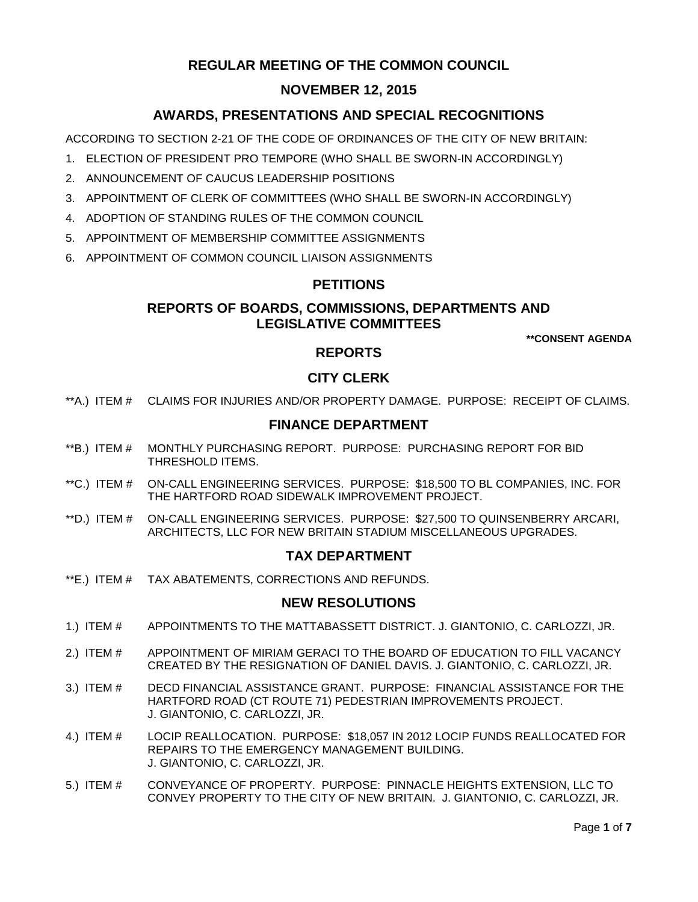# **REGULAR MEETING OF THE COMMON COUNCIL**

# **NOVEMBER 12, 2015**

# **AWARDS, PRESENTATIONS AND SPECIAL RECOGNITIONS**

ACCORDING TO SECTION 2-21 OF THE CODE OF ORDINANCES OF THE CITY OF NEW BRITAIN:

- 1. ELECTION OF PRESIDENT PRO TEMPORE (WHO SHALL BE SWORN-IN ACCORDINGLY)
- 2. ANNOUNCEMENT OF CAUCUS LEADERSHIP POSITIONS
- 3. APPOINTMENT OF CLERK OF COMMITTEES (WHO SHALL BE SWORN-IN ACCORDINGLY)
- 4. ADOPTION OF STANDING RULES OF THE COMMON COUNCIL
- 5. APPOINTMENT OF MEMBERSHIP COMMITTEE ASSIGNMENTS
- 6. APPOINTMENT OF COMMON COUNCIL LIAISON ASSIGNMENTS

## **PETITIONS**

## **REPORTS OF BOARDS, COMMISSIONS, DEPARTMENTS AND LEGISLATIVE COMMITTEES**

**\*\*CONSENT AGENDA**

## **REPORTS**

# **CITY CLERK**

\*\*A.) ITEM # [CLAIMS FOR INJURIES AND/OR PROPERTY DAMAGE. PURPOSE: RECEIPT OF CLAIMS.](#page-1-0)

### **FINANCE DEPARTMENT**

- \*\*B.) ITEM # [MONTHLY PURCHASING REPORT. PURPOSE: PURCHASING REPORT FOR BID](#page-1-1)  [THRESHOLD ITEMS.](#page-1-1)
- \*\*C.) ITEM # [ON-CALL ENGINEERING SERVICES. PURPOSE: \\$18,500 TO BL COMPANIES, INC. FOR](#page-2-0)  [THE HARTFORD ROAD SIDEWALK IMPROVEMENT PROJECT.](#page-2-0)
- \*\*D.) ITEM # [ON-CALL ENGINEERING SERVICES. PURPOSE: \\$27,500 TO QUINSENBERRY ARCARI,](#page-2-1)  [ARCHITECTS, LLC FOR NEW BRITAIN STADIUM MISCELLANEOUS UPGRADES.](#page-2-1)

#### **TAX DEPARTMENT**

\*\*E.) ITEM # [TAX ABATEMENTS, CORRECTIONS AND REFUNDS.](#page-3-0)

#### **NEW RESOLUTIONS**

- 1.) ITEM # [APPOINTMENTS TO THE MATTABASSETT DISTRICT. J. GIANTONIO, C. CARLOZZI, JR.](#page-3-1)
- 2.) ITEM # [APPOINTMENT OF MIRIAM GERACI TO THE BOARD OF EDUCATION TO FILL VACANCY](#page-4-0)  [CREATED BY THE RESIGNATION OF DANIEL](#page-4-0) DAVIS. J. GIANTONIO, C. CARLOZZI, JR.
- 3.) ITEM # [DECD FINANCIAL ASSISTANCE GRANT. PURPOSE: FINANCIAL ASSISTANCE FOR THE](#page-4-1)  [HARTFORD ROAD \(CT ROUTE 71\) PEDESTRIAN IMPROVEMENTS PROJECT.](#page-4-1)  [J. GIANTONIO, C. CARLOZZI, JR.](#page-4-1)
- 4.) ITEM # [LOCIP REALLOCATION. PURPOSE: \\$18,057 IN 2012 LOCIP FUNDS REALLOCATED FOR](#page-5-0)  [REPAIRS TO THE EMERGENCY MANAGEMENT BUILDING.](#page-5-0) [J. GIANTONIO, C. CARLOZZI, JR.](#page-5-0)
- 5.) ITEM # [CONVEYANCE OF PROPERTY. PURPOSE: PINNACLE HEIGHTS EXTENSION, LLC TO](#page-5-1)  [CONVEY PROPERTY TO THE CITY OF NEW BRITAIN. J. GIANTONIO, C. CARLOZZI, JR.](#page-5-1)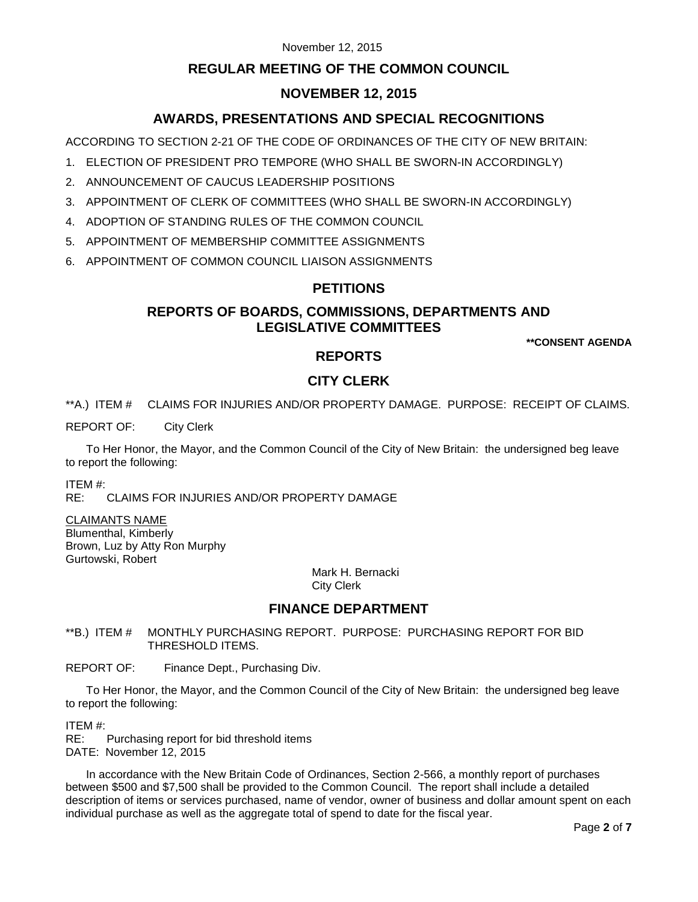#### November 12, 2015

## **REGULAR MEETING OF THE COMMON COUNCIL**

## **NOVEMBER 12, 2015**

## **AWARDS, PRESENTATIONS AND SPECIAL RECOGNITIONS**

ACCORDING TO SECTION 2-21 OF THE CODE OF ORDINANCES OF THE CITY OF NEW BRITAIN:

- 1. ELECTION OF PRESIDENT PRO TEMPORE (WHO SHALL BE SWORN-IN ACCORDINGLY)
- 2. ANNOUNCEMENT OF CAUCUS LEADERSHIP POSITIONS
- 3. APPOINTMENT OF CLERK OF COMMITTEES (WHO SHALL BE SWORN-IN ACCORDINGLY)
- 4. ADOPTION OF STANDING RULES OF THE COMMON COUNCIL
- 5. APPOINTMENT OF MEMBERSHIP COMMITTEE ASSIGNMENTS
- 6. APPOINTMENT OF COMMON COUNCIL LIAISON ASSIGNMENTS

#### **PETITIONS**

#### **REPORTS OF BOARDS, COMMISSIONS, DEPARTMENTS AND LEGISLATIVE COMMITTEES**

**\*\*CONSENT AGENDA**

### **REPORTS**

# **CITY CLERK**

<span id="page-1-0"></span>\*\*A.) ITEM # CLAIMS FOR INJURIES AND/OR PROPERTY DAMAGE. PURPOSE: RECEIPT OF CLAIMS.

REPORT OF: City Clerk

To Her Honor, the Mayor, and the Common Council of the City of New Britain: the undersigned beg leave to report the following:

ITEM #:

RE: CLAIMS FOR INJURIES AND/OR PROPERTY DAMAGE

CLAIMANTS NAME Blumenthal, Kimberly

Brown, Luz by Atty Ron Murphy Gurtowski, Robert

Mark H. Bernacki City Clerk

#### **FINANCE DEPARTMENT**

<span id="page-1-1"></span>\*\*B.) ITEM # MONTHLY PURCHASING REPORT. PURPOSE: PURCHASING REPORT FOR BID THRESHOLD ITEMS.

REPORT OF: Finance Dept., Purchasing Div.

To Her Honor, the Mayor, and the Common Council of the City of New Britain: the undersigned beg leave to report the following:

ITEM #:

RE: Purchasing report for bid threshold items DATE: November 12, 2015

In accordance with the New Britain Code of Ordinances, Section 2-566, a monthly report of purchases between \$500 and \$7,500 shall be provided to the Common Council. The report shall include a detailed description of items or services purchased, name of vendor, owner of business and dollar amount spent on each individual purchase as well as the aggregate total of spend to date for the fiscal year.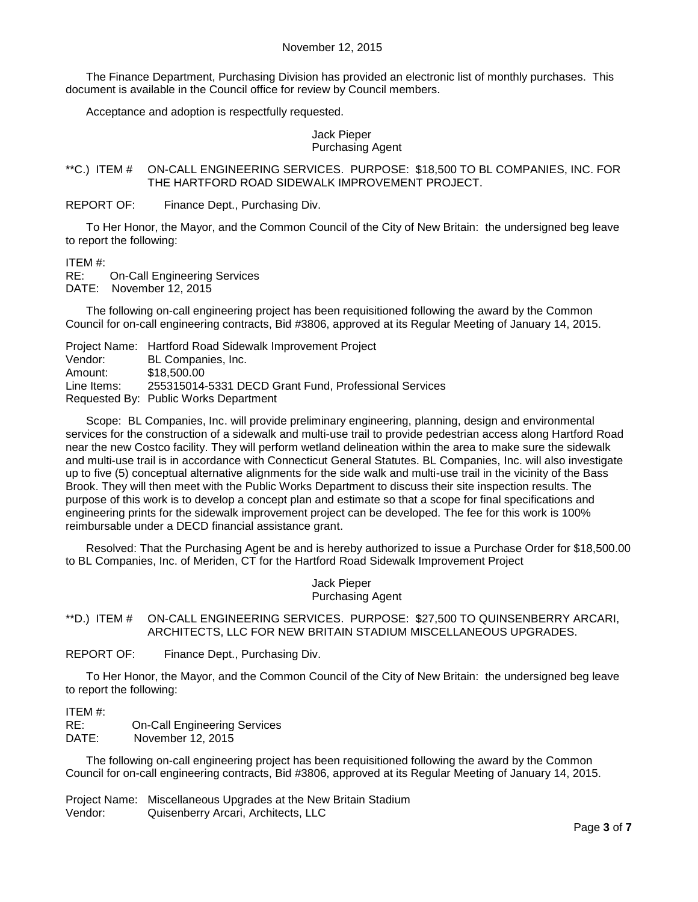The Finance Department, Purchasing Division has provided an electronic list of monthly purchases. This document is available in the Council office for review by Council members.

Acceptance and adoption is respectfully requested.

Jack Pieper Purchasing Agent

<span id="page-2-0"></span>\*\*C.) ITEM # ON-CALL ENGINEERING SERVICES. PURPOSE: \$18,500 TO BL COMPANIES, INC. FOR THE HARTFORD ROAD SIDEWALK IMPROVEMENT PROJECT.

REPORT OF: Finance Dept., Purchasing Div.

To Her Honor, the Mayor, and the Common Council of the City of New Britain: the undersigned beg leave to report the following:

ITEM #:

**On-Call Engineering Services** DATE: November 12, 2015

The following on-call engineering project has been requisitioned following the award by the Common Council for on-call engineering contracts, Bid #3806, approved at its Regular Meeting of January 14, 2015.

Project Name: Hartford Road Sidewalk Improvement Project Vendor: BL Companies, Inc. Amount: \$18,500.00 Line Items: 255315014-5331 DECD Grant Fund, Professional Services Requested By: Public Works Department

Scope: BL Companies, Inc. will provide preliminary engineering, planning, design and environmental services for the construction of a sidewalk and multi-use trail to provide pedestrian access along Hartford Road near the new Costco facility. They will perform wetland delineation within the area to make sure the sidewalk and multi-use trail is in accordance with Connecticut General Statutes. BL Companies, Inc. will also investigate up to five (5) conceptual alternative alignments for the side walk and multi-use trail in the vicinity of the Bass Brook. They will then meet with the Public Works Department to discuss their site inspection results. The purpose of this work is to develop a concept plan and estimate so that a scope for final specifications and engineering prints for the sidewalk improvement project can be developed. The fee for this work is 100% reimbursable under a DECD financial assistance grant.

Resolved: That the Purchasing Agent be and is hereby authorized to issue a Purchase Order for \$18,500.00 to BL Companies, Inc. of Meriden, CT for the Hartford Road Sidewalk Improvement Project

> Jack Pieper Purchasing Agent

<span id="page-2-1"></span>\*\*D.) ITEM # ON-CALL ENGINEERING SERVICES. PURPOSE: \$27,500 TO QUINSENBERRY ARCARI, ARCHITECTS, LLC FOR NEW BRITAIN STADIUM MISCELLANEOUS UPGRADES.

REPORT OF: Finance Dept., Purchasing Div.

To Her Honor, the Mayor, and the Common Council of the City of New Britain: the undersigned beg leave to report the following:

ITEM #:

RE: On-Call Engineering Services

DATE: November 12, 2015

The following on-call engineering project has been requisitioned following the award by the Common Council for on-call engineering contracts, Bid #3806, approved at its Regular Meeting of January 14, 2015.

Project Name: Miscellaneous Upgrades at the New Britain Stadium Vendor: Quisenberry Arcari, Architects, LLC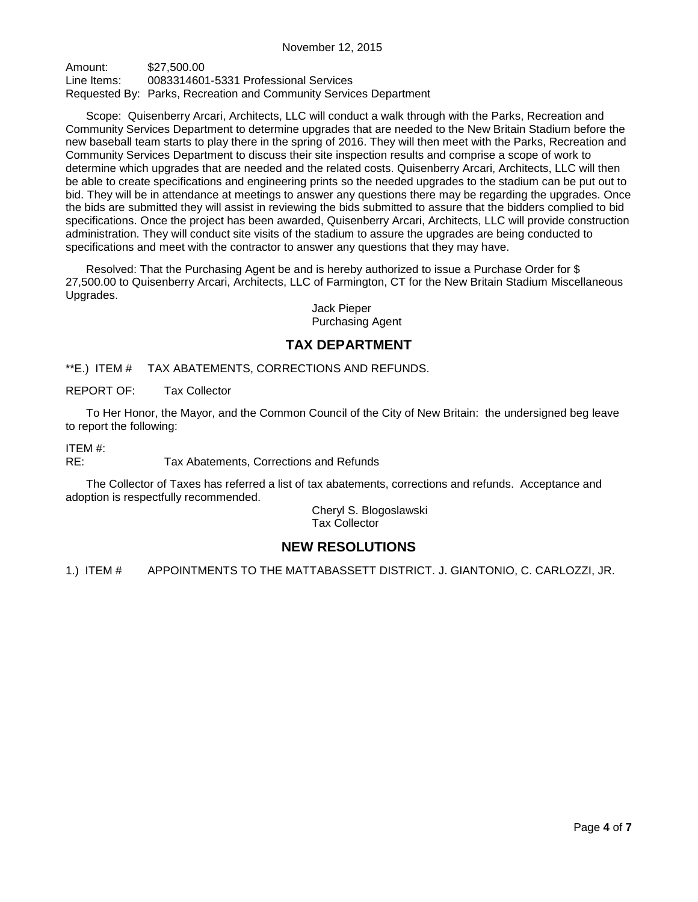Amount: \$27,500.00 Line Items: 0083314601-5331 Professional Services Requested By: Parks, Recreation and Community Services Department

Scope: Quisenberry Arcari, Architects, LLC will conduct a walk through with the Parks, Recreation and Community Services Department to determine upgrades that are needed to the New Britain Stadium before the new baseball team starts to play there in the spring of 2016. They will then meet with the Parks, Recreation and Community Services Department to discuss their site inspection results and comprise a scope of work to determine which upgrades that are needed and the related costs. Quisenberry Arcari, Architects, LLC will then be able to create specifications and engineering prints so the needed upgrades to the stadium can be put out to bid. They will be in attendance at meetings to answer any questions there may be regarding the upgrades. Once the bids are submitted they will assist in reviewing the bids submitted to assure that the bidders complied to bid specifications. Once the project has been awarded, Quisenberry Arcari, Architects, LLC will provide construction administration. They will conduct site visits of the stadium to assure the upgrades are being conducted to specifications and meet with the contractor to answer any questions that they may have.

Resolved: That the Purchasing Agent be and is hereby authorized to issue a Purchase Order for \$ 27,500.00 to Quisenberry Arcari, Architects, LLC of Farmington, CT for the New Britain Stadium Miscellaneous Upgrades.

> Jack Pieper Purchasing Agent

#### **TAX DEPARTMENT**

<span id="page-3-0"></span>\*\*E.) ITEM # TAX ABATEMENTS, CORRECTIONS AND REFUNDS.

REPORT OF: Tax Collector

To Her Honor, the Mayor, and the Common Council of the City of New Britain: the undersigned beg leave to report the following:

ITEM #:

RE: Tax Abatements, Corrections and Refunds

The Collector of Taxes has referred a list of tax abatements, corrections and refunds. Acceptance and adoption is respectfully recommended.

> Cheryl S. Blogoslawski Tax Collector

# **NEW RESOLUTIONS**

<span id="page-3-1"></span>1.) ITEM # APPOINTMENTS TO THE MATTABASSETT DISTRICT. J. GIANTONIO, C. CARLOZZI, JR.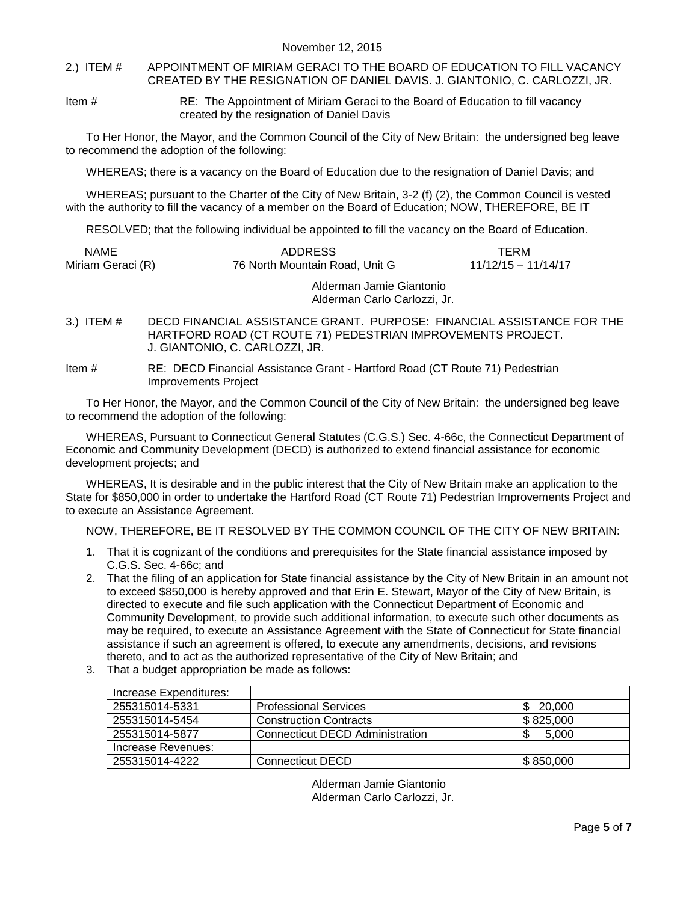<span id="page-4-0"></span>2.) ITEM # APPOINTMENT OF MIRIAM GERACI TO THE BOARD OF EDUCATION TO FILL VACANCY CREATED BY THE RESIGNATION OF DANIEL DAVIS. J. GIANTONIO, C. CARLOZZI, JR.

Item # RE: The Appointment of Miriam Geraci to the Board of Education to fill vacancy created by the resignation of Daniel Davis

To Her Honor, the Mayor, and the Common Council of the City of New Britain: the undersigned beg leave to recommend the adoption of the following:

WHEREAS; there is a vacancy on the Board of Education due to the resignation of Daniel Davis; and

WHEREAS; pursuant to the Charter of the City of New Britain, 3-2 (f) (2), the Common Council is vested with the authority to fill the vacancy of a member on the Board of Education; NOW, THEREFORE, BE IT

RESOLVED; that the following individual be appointed to fill the vacancy on the Board of Education.

| <b>NAME</b><br>Miriam Geraci (R) | <b>ADDRESS</b><br>76 North Mountain Road. Unit G         | TFRM<br>$11/12/15 - 11/14/17$ |
|----------------------------------|----------------------------------------------------------|-------------------------------|
|                                  | Alderman Jamie Giantonio<br>Alderman Carlo Carlozzi, Jr. |                               |

- <span id="page-4-1"></span>3.) ITEM # DECD FINANCIAL ASSISTANCE GRANT. PURPOSE: FINANCIAL ASSISTANCE FOR THE HARTFORD ROAD (CT ROUTE 71) PEDESTRIAN IMPROVEMENTS PROJECT. J. GIANTONIO, C. CARLOZZI, JR.
- Item # RE: DECD Financial Assistance Grant Hartford Road (CT Route 71) Pedestrian Improvements Project

To Her Honor, the Mayor, and the Common Council of the City of New Britain: the undersigned beg leave to recommend the adoption of the following:

WHEREAS, Pursuant to Connecticut General Statutes (C.G.S.) Sec. 4-66c, the Connecticut Department of Economic and Community Development (DECD) is authorized to extend financial assistance for economic development projects; and

WHEREAS, It is desirable and in the public interest that the City of New Britain make an application to the State for \$850,000 in order to undertake the Hartford Road (CT Route 71) Pedestrian Improvements Project and to execute an Assistance Agreement.

NOW, THEREFORE, BE IT RESOLVED BY THE COMMON COUNCIL OF THE CITY OF NEW BRITAIN:

- 1. That it is cognizant of the conditions and prerequisites for the State financial assistance imposed by C.G.S. Sec. 4-66c; and
- 2. That the filing of an application for State financial assistance by the City of New Britain in an amount not to exceed \$850,000 is hereby approved and that Erin E. Stewart, Mayor of the City of New Britain, is directed to execute and file such application with the Connecticut Department of Economic and Community Development, to provide such additional information, to execute such other documents as may be required, to execute an Assistance Agreement with the State of Connecticut for State financial assistance if such an agreement is offered, to execute any amendments, decisions, and revisions thereto, and to act as the authorized representative of the City of New Britain; and
- 3. That a budget appropriation be made as follows:

| Increase Expenditures: |                                        |           |
|------------------------|----------------------------------------|-----------|
| 255315014-5331         | <b>Professional Services</b>           | 20,000    |
| 255315014-5454         | <b>Construction Contracts</b>          | \$825,000 |
| 255315014-5877         | <b>Connecticut DECD Administration</b> | 5.000     |
| Increase Revenues:     |                                        |           |
| 255315014-4222         | <b>Connecticut DECD</b>                | \$850,000 |

Alderman Jamie Giantonio Alderman Carlo Carlozzi, Jr.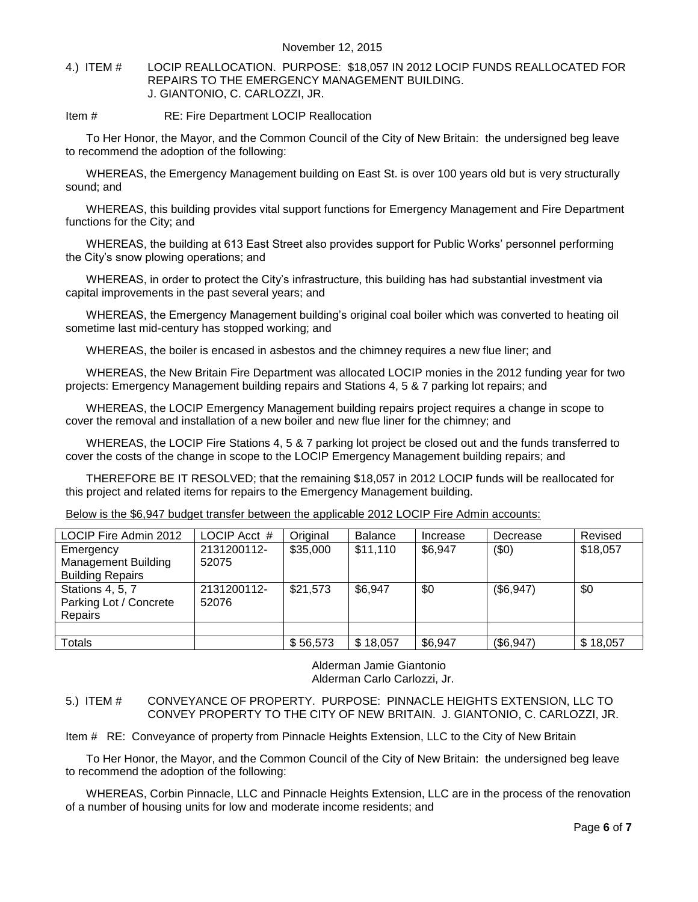<span id="page-5-0"></span>4.) ITEM # LOCIP REALLOCATION. PURPOSE: \$18,057 IN 2012 LOCIP FUNDS REALLOCATED FOR REPAIRS TO THE EMERGENCY MANAGEMENT BUILDING. J. GIANTONIO, C. CARLOZZI, JR.

Item # RE: Fire Department LOCIP Reallocation

To Her Honor, the Mayor, and the Common Council of the City of New Britain: the undersigned beg leave to recommend the adoption of the following:

WHEREAS, the Emergency Management building on East St. is over 100 years old but is very structurally sound; and

WHEREAS, this building provides vital support functions for Emergency Management and Fire Department functions for the City; and

WHEREAS, the building at 613 East Street also provides support for Public Works' personnel performing the City's snow plowing operations; and

WHEREAS, in order to protect the City's infrastructure, this building has had substantial investment via capital improvements in the past several years; and

WHEREAS, the Emergency Management building's original coal boiler which was converted to heating oil sometime last mid-century has stopped working; and

WHEREAS, the boiler is encased in asbestos and the chimney requires a new flue liner; and

WHEREAS, the New Britain Fire Department was allocated LOCIP monies in the 2012 funding year for two projects: Emergency Management building repairs and Stations 4, 5 & 7 parking lot repairs; and

WHEREAS, the LOCIP Emergency Management building repairs project requires a change in scope to cover the removal and installation of a new boiler and new flue liner for the chimney; and

WHEREAS, the LOCIP Fire Stations 4, 5 & 7 parking lot project be closed out and the funds transferred to cover the costs of the change in scope to the LOCIP Emergency Management building repairs; and

THEREFORE BE IT RESOLVED; that the remaining \$18,057 in 2012 LOCIP funds will be reallocated for this project and related items for repairs to the Emergency Management building.

Below is the \$6,947 budget transfer between the applicable 2012 LOCIP Fire Admin accounts:

| LOCIP Fire Admin 2012      | LOCIP Acct # | Original | <b>Balance</b> | Increase | Decrease  | Revised  |
|----------------------------|--------------|----------|----------------|----------|-----------|----------|
| Emergency                  | 2131200112-  | \$35,000 | \$11,110       | \$6,947  | (50)      | \$18,057 |
| <b>Management Building</b> | 52075        |          |                |          |           |          |
| <b>Building Repairs</b>    |              |          |                |          |           |          |
| Stations 4, 5, 7           | 2131200112-  | \$21,573 | \$6,947        | \$0      | (\$6,947) | \$0      |
| Parking Lot / Concrete     | 52076        |          |                |          |           |          |
| <b>Repairs</b>             |              |          |                |          |           |          |
|                            |              |          |                |          |           |          |
| <b>Totals</b>              |              | \$56,573 | \$18,057       | \$6,947  | (\$6,947) | \$18,057 |

Alderman Jamie Giantonio Alderman Carlo Carlozzi, Jr.

<span id="page-5-1"></span>5.) ITEM # CONVEYANCE OF PROPERTY. PURPOSE: PINNACLE HEIGHTS EXTENSION, LLC TO CONVEY PROPERTY TO THE CITY OF NEW BRITAIN. J. GIANTONIO, C. CARLOZZI, JR.

Item # RE: Conveyance of property from Pinnacle Heights Extension, LLC to the City of New Britain

To Her Honor, the Mayor, and the Common Council of the City of New Britain: the undersigned beg leave to recommend the adoption of the following:

WHEREAS, Corbin Pinnacle, LLC and Pinnacle Heights Extension, LLC are in the process of the renovation of a number of housing units for low and moderate income residents; and